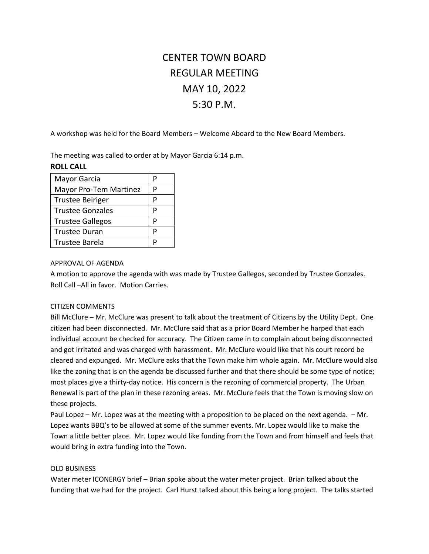# CENTER TOWN BOARD REGULAR MEETING MAY 10, 2022 5:30 P.M.

A workshop was held for the Board Members – Welcome Aboard to the New Board Members.

The meeting was called to order at by Mayor Garcia 6:14 p.m.

## **ROLL CALL**

| Mayor Garcia            | p |
|-------------------------|---|
| Mayor Pro-Tem Martinez  | P |
| <b>Trustee Beiriger</b> | P |
| <b>Trustee Gonzales</b> | D |
| <b>Trustee Gallegos</b> | P |
| <b>Trustee Duran</b>    | P |
| Trustee Barela          |   |

## APPROVAL OF AGENDA

A motion to approve the agenda with was made by Trustee Gallegos, seconded by Trustee Gonzales. Roll Call –All in favor. Motion Carries.

## CITIZEN COMMENTS

Bill McClure – Mr. McClure was present to talk about the treatment of Citizens by the Utility Dept. One citizen had been disconnected. Mr. McClure said that as a prior Board Member he harped that each individual account be checked for accuracy. The Citizen came in to complain about being disconnected and got irritated and was charged with harassment. Mr. McClure would like that his court record be cleared and expunged. Mr. McClure asks that the Town make him whole again. Mr. McClure would also like the zoning that is on the agenda be discussed further and that there should be some type of notice; most places give a thirty-day notice. His concern is the rezoning of commercial property. The Urban Renewal is part of the plan in these rezoning areas. Mr. McClure feels that the Town is moving slow on these projects.

Paul Lopez – Mr. Lopez was at the meeting with a proposition to be placed on the next agenda. – Mr. Lopez wants BBQ's to be allowed at some of the summer events. Mr. Lopez would like to make the Town a little better place. Mr. Lopez would like funding from the Town and from himself and feels that would bring in extra funding into the Town.

#### OLD BUSINESS

Water meter ICONERGY brief – Brian spoke about the water meter project. Brian talked about the funding that we had for the project. Carl Hurst talked about this being a long project. The talks started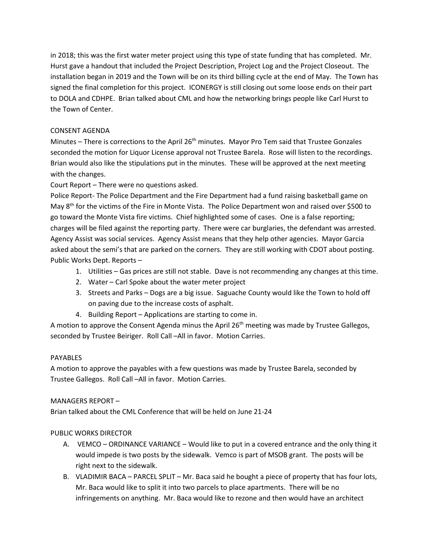in 2018; this was the first water meter project using this type of state funding that has completed. Mr. Hurst gave a handout that included the Project Description, Project Log and the Project Closeout. The installation began in 2019 and the Town will be on its third billing cycle at the end of May. The Town has signed the final completion for this project. ICONERGY is still closing out some loose ends on their part to DOLA and CDHPE. Brian talked about CML and how the networking brings people like Carl Hurst to the Town of Center.

# CONSENT AGENDA

Minutes – There is corrections to the April 26<sup>th</sup> minutes. Mayor Pro Tem said that Trustee Gonzales seconded the motion for Liquor License approval not Trustee Barela. Rose will listen to the recordings. Brian would also like the stipulations put in the minutes. These will be approved at the next meeting with the changes.

Court Report – There were no questions asked.

Police Report- The Police Department and the Fire Department had a fund raising basketball game on May 8th for the victims of the Fire in Monte Vista. The Police Department won and raised over \$500 to go toward the Monte Vista fire victims. Chief highlighted some of cases. One is a false reporting; charges will be filed against the reporting party. There were car burglaries, the defendant was arrested. Agency Assist was social services. Agency Assist means that they help other agencies. Mayor Garcia asked about the semi's that are parked on the corners. They are still working with CDOT about posting. Public Works Dept. Reports –

- 1. Utilities Gas prices are still not stable. Dave is not recommending any changes at this time.
- 2. Water Carl Spoke about the water meter project
- 3. Streets and Parks Dogs are a big issue. Saguache County would like the Town to hold off on paving due to the increase costs of asphalt.
- 4. Building Report Applications are starting to come in.

A motion to approve the Consent Agenda minus the April 26<sup>th</sup> meeting was made by Trustee Gallegos, seconded by Trustee Beiriger. Roll Call –All in favor. Motion Carries.

# PAYABLES

A motion to approve the payables with a few questions was made by Trustee Barela, seconded by Trustee Gallegos. Roll Call –All in favor. Motion Carries.

# MANAGERS REPORT –

Brian talked about the CML Conference that will be held on June 21-24

# PUBLIC WORKS DIRECTOR

- A. VEMCO ORDINANCE VARIANCE Would like to put in a covered entrance and the only thing it would impede is two posts by the sidewalk. Vemco is part of MSOB grant. The posts will be right next to the sidewalk.
- B. VLADIMIR BACA PARCEL SPLIT Mr. Baca said he bought a piece of property that has four lots, Mr. Baca would like to split it into two parcels to place apartments. There will be no infringements on anything. Mr. Baca would like to rezone and then would have an architect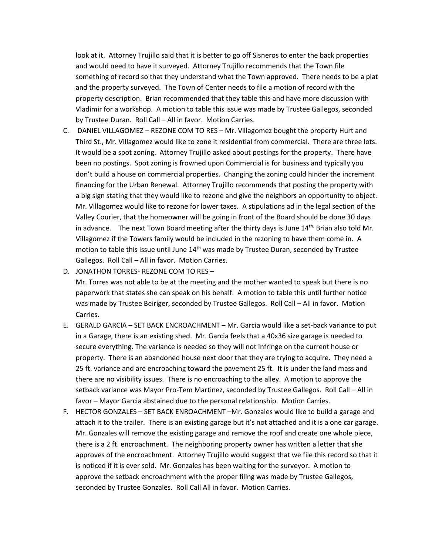look at it. Attorney Trujillo said that it is better to go off Sisneros to enter the back properties and would need to have it surveyed. Attorney Trujillo recommends that the Town file something of record so that they understand what the Town approved. There needs to be a plat and the property surveyed. The Town of Center needs to file a motion of record with the property description. Brian recommended that they table this and have more discussion with Vladimir for a workshop. A motion to table this issue was made by Trustee Gallegos, seconded by Trustee Duran. Roll Call – All in favor. Motion Carries.

- C. DANIEL VILLAGOMEZ REZONE COM TO RES Mr. Villagomez bought the property Hurt and Third St., Mr. Villagomez would like to zone it residential from commercial. There are three lots. It would be a spot zoning. Attorney Trujillo asked about postings for the property. There have been no postings. Spot zoning is frowned upon Commercial is for business and typically you don't build a house on commercial properties. Changing the zoning could hinder the increment financing for the Urban Renewal. Attorney Trujillo recommends that posting the property with a big sign stating that they would like to rezone and give the neighbors an opportunity to object. Mr. Villagomez would like to rezone for lower taxes. A stipulations ad in the legal section of the Valley Courier, that the homeowner will be going in front of the Board should be done 30 days in advance. The next Town Board meeting after the thirty days is June  $14<sup>th</sup>$  Brian also told Mr. Villagomez if the Towers family would be included in the rezoning to have them come in. A motion to table this issue until June  $14<sup>th</sup>$  was made by Trustee Duran, seconded by Trustee Gallegos. Roll Call – All in favor. Motion Carries.
- D. JONATHON TORRES- REZONE COM TO RES –

Mr. Torres was not able to be at the meeting and the mother wanted to speak but there is no paperwork that states she can speak on his behalf. A motion to table this until further notice was made by Trustee Beiriger, seconded by Trustee Gallegos. Roll Call – All in favor. Motion Carries.

- E. GERALD GARCIA SET BACK ENCROACHMENT Mr. Garcia would like a set-back variance to put in a Garage, there is an existing shed. Mr. Garcia feels that a 40x36 size garage is needed to secure everything. The variance is needed so they will not infringe on the current house or property. There is an abandoned house next door that they are trying to acquire. They need a 25 ft. variance and are encroaching toward the pavement 25 ft. It is under the land mass and there are no visibility issues. There is no encroaching to the alley. A motion to approve the setback variance was Mayor Pro-Tem Martinez, seconded by Trustee Gallegos. Roll Call – All in favor – Mayor Garcia abstained due to the personal relationship. Motion Carries.
- F. HECTOR GONZALES SET BACK ENROACHMENT –Mr. Gonzales would like to build a garage and attach it to the trailer. There is an existing garage but it's not attached and it is a one car garage. Mr. Gonzales will remove the existing garage and remove the roof and create one whole piece, there is a 2 ft. encroachment. The neighboring property owner has written a letter that she approves of the encroachment. Attorney Trujillo would suggest that we file this record so that it is noticed if it is ever sold. Mr. Gonzales has been waiting for the surveyor. A motion to approve the setback encroachment with the proper filing was made by Trustee Gallegos, seconded by Trustee Gonzales. Roll Call All in favor. Motion Carries.